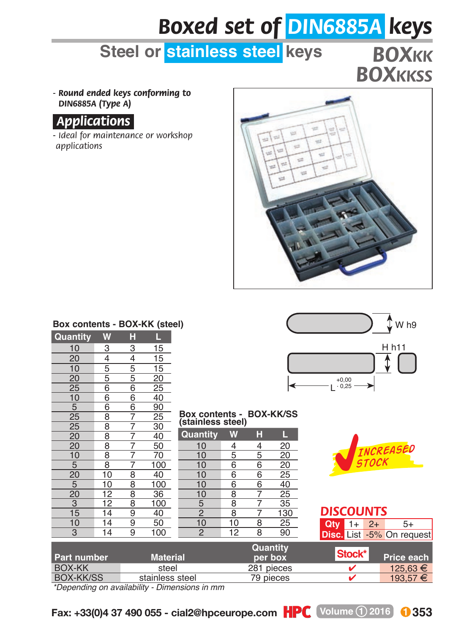# *Boxed set of DIN6885A keys*

### **Steel or stainless steel keys**

## *BOXKK BOXKKSS*

*- Round ended keys conforming to DIN6885A (Type A)*



*-Ideal for maintenance or workshop applications*



#### **Box contents - BOX-KK (steel)**

| Quantity | W | H                   |                 |
|----------|---|---------------------|-----------------|
|          | 3 | 3                   | $\overline{15}$ |
|          |   |                     |                 |
|          |   |                     |                 |
|          |   |                     |                 |
|          |   |                     |                 |
|          |   |                     |                 |
|          |   |                     |                 |
|          |   |                     |                 |
|          |   |                     |                 |
|          |   |                     |                 |
|          |   |                     |                 |
|          |   |                     |                 |
|          |   |                     |                 |
|          |   |                     |                 |
|          |   |                     |                 |
|          |   |                     |                 |
|          |   |                     |                 |
|          |   | 4556667777788889999 |                 |
|          |   |                     |                 |
|          |   |                     | 100             |



## **Box contents - BOX-KK/SS (stainless steel)**

| w  |                                                                                                               |                                                                                    |
|----|---------------------------------------------------------------------------------------------------------------|------------------------------------------------------------------------------------|
| 4  | 4                                                                                                             | $\overline{20}$                                                                    |
|    | 5                                                                                                             | 20                                                                                 |
|    |                                                                                                               | $\frac{20}{25}$                                                                    |
|    |                                                                                                               |                                                                                    |
|    |                                                                                                               | 40                                                                                 |
|    |                                                                                                               | $\frac{18}{25}$<br>35                                                              |
|    |                                                                                                               |                                                                                    |
|    |                                                                                                               | 130                                                                                |
| 10 | 8                                                                                                             | $\overline{25}$                                                                    |
|    |                                                                                                               | 90                                                                                 |
|    | $\overline{5}$<br>$\overline{6}$<br>$\frac{6}{6}$<br>8<br>$\overline{8}$<br>$\overline{8}$<br>$\overline{12}$ | н<br>$\overline{6}$<br>$\overline{6}$<br>$\overline{6}$<br>$\overline{\mathbf{8}}$ |



| Part number | <b>Material</b> | Quantity<br>per box | Stock* | Price each |
|-------------|-----------------|---------------------|--------|------------|
| BOX-KK      | steel           | 281 pieces          |        | 125.63 €   |
| BOX-KK/SS   | stainless steel | 79 pieces           |        | 193.57 €   |

*\*Depending on availability - Dimensions in mm*



*DISCOUNTS* **Qty** 1+ 2+ 5+ **Disc.** List -5% On request